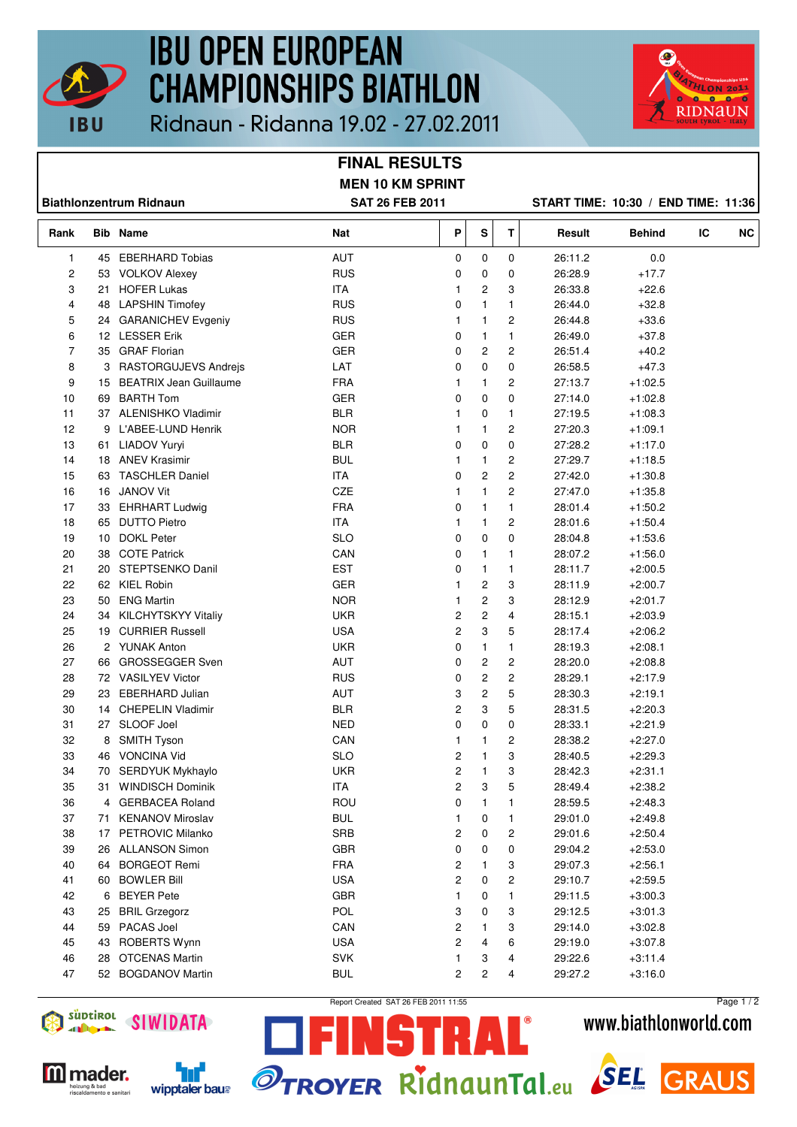

## **IBU OPEN EUROPEAN CHAMPIONSHIPS BIATHLON**



Ridnaun - Ridanna 19.02 - 27.02.2011

## **FINAL RESULTS MEN 10 KM SPRINT**

**Biathlonzentrum Ridnaun SAT 26 FEB 2011 START TIME: 10:30 / END TIME: 11:36**

| Rank |    | <b>Bib Name</b>               | Nat        | P                       | ${\sf s}$               | т                       | Result  | <b>Behind</b> | IC | <b>NC</b> |
|------|----|-------------------------------|------------|-------------------------|-------------------------|-------------------------|---------|---------------|----|-----------|
| 1    | 45 | <b>EBERHARD Tobias</b>        | AUT        | 0                       | 0                       | 0                       | 26:11.2 | 0.0           |    |           |
| 2    | 53 | <b>VOLKOV Alexey</b>          | <b>RUS</b> | 0                       | 0                       | 0                       | 26:28.9 | $+17.7$       |    |           |
| 3    | 21 | <b>HOFER Lukas</b>            | ITA        | 1                       | 2                       | 3                       | 26:33.8 | $+22.6$       |    |           |
| 4    | 48 | <b>LAPSHIN Timofey</b>        | <b>RUS</b> | 0                       | $\mathbf{1}$            | $\mathbf{1}$            | 26:44.0 | $+32.8$       |    |           |
| 5    | 24 | <b>GARANICHEV Evgeniy</b>     | <b>RUS</b> | 1                       | 1                       | $\overline{c}$          | 26:44.8 | $+33.6$       |    |           |
| 6    |    | 12 LESSER Erik                | <b>GER</b> | 0                       | $\mathbf{1}$            | $\mathbf{1}$            | 26:49.0 | $+37.8$       |    |           |
| 7    | 35 | <b>GRAF Florian</b>           | <b>GER</b> | 0                       | 2                       | $\overline{c}$          | 26:51.4 | $+40.2$       |    |           |
| 8    | 3  | RASTORGUJEVS Andrejs          | LAT        | 0                       | 0                       | 0                       | 26:58.5 | $+47.3$       |    |           |
| 9    | 15 | <b>BEATRIX Jean Guillaume</b> | <b>FRA</b> | 1                       | 1                       | $\overline{c}$          | 27:13.7 | $+1:02.5$     |    |           |
| 10   | 69 | <b>BARTH Tom</b>              | <b>GER</b> | 0                       | 0                       | 0                       | 27:14.0 | $+1:02.8$     |    |           |
| 11   |    | 37 ALENISHKO Vladimir         | <b>BLR</b> | 1                       | 0                       | 1                       | 27:19.5 | $+1:08.3$     |    |           |
| 12   | 9  | L'ABEE-LUND Henrik            | <b>NOR</b> | 1                       | $\mathbf{1}$            | 2                       | 27:20.3 | $+1:09.1$     |    |           |
| 13   | 61 | LIADOV Yuryi                  | <b>BLR</b> | 0                       | 0                       | 0                       | 27:28.2 | $+1:17.0$     |    |           |
| 14   |    | 18 ANEV Krasimir              | <b>BUL</b> | 1                       | 1                       | $\overline{c}$          | 27:29.7 | $+1:18.5$     |    |           |
| 15   | 63 | <b>TASCHLER Daniel</b>        | ITA        | 0                       | 2                       | $\overline{c}$          | 27:42.0 | $+1:30.8$     |    |           |
| 16   | 16 | <b>JANOV Vit</b>              | CZE        | 1                       | $\mathbf{1}$            | $\overline{c}$          | 27:47.0 | $+1:35.8$     |    |           |
| 17   | 33 | <b>EHRHART Ludwig</b>         | <b>FRA</b> | 0                       | 1                       | $\mathbf{1}$            | 28:01.4 | $+1:50.2$     |    |           |
| 18   | 65 | <b>DUTTO Pietro</b>           | <b>ITA</b> | 1                       | $\mathbf{1}$            | $\overline{c}$          | 28:01.6 | $+1:50.4$     |    |           |
| 19   | 10 | <b>DOKL Peter</b>             | <b>SLO</b> | 0                       | 0                       | 0                       | 28:04.8 | $+1:53.6$     |    |           |
| 20   | 38 | <b>COTE Patrick</b>           | CAN        | 0                       | $\mathbf{1}$            | $\mathbf{1}$            | 28:07.2 | $+1:56.0$     |    |           |
| 21   | 20 | STEPTSENKO Danil              | <b>EST</b> | 0                       | $\mathbf{1}$            | 1                       | 28:11.7 | $+2:00.5$     |    |           |
| 22   |    | 62 KIEL Robin                 | <b>GER</b> | 1                       | 2                       | 3                       | 28:11.9 | $+2:00.7$     |    |           |
| 23   | 50 | <b>ENG Martin</b>             | <b>NOR</b> | 1                       | 2                       | 3                       | 28:12.9 | $+2:01.7$     |    |           |
| 24   | 34 | KILCHYTSKYY Vitaliy           | <b>UKR</b> | $\overline{\mathbf{c}}$ | $\overline{\mathbf{c}}$ | 4                       | 28:15.1 | $+2:03.9$     |    |           |
| 25   | 19 | <b>CURRIER Russell</b>        | <b>USA</b> | 2                       | 3                       | 5                       | 28:17.4 | $+2:06.2$     |    |           |
| 26   |    | 2 YUNAK Anton                 | <b>UKR</b> | 0                       | $\mathbf{1}$            | $\mathbf{1}$            | 28:19.3 | $+2:08.1$     |    |           |
| 27   | 66 | <b>GROSSEGGER Sven</b>        | AUT        | 0                       | 2                       | $\overline{c}$          | 28:20.0 | $+2:08.8$     |    |           |
| 28   |    | 72 VASILYEV Victor            | <b>RUS</b> | 0                       | 2                       | $\overline{c}$          | 28:29.1 | $+2:17.9$     |    |           |
| 29   | 23 | <b>EBERHARD Julian</b>        | AUT        | 3                       | 2                       | 5                       | 28:30.3 | $+2:19.1$     |    |           |
| 30   | 14 | <b>CHEPELIN Vladimir</b>      | <b>BLR</b> | 2                       | 3                       | 5                       | 28:31.5 | $+2:20.3$     |    |           |
| 31   |    | 27 SLOOF Joel                 | <b>NED</b> | 0                       | 0                       | 0                       | 28:33.1 | $+2:21.9$     |    |           |
| 32   | 8  | <b>SMITH Tyson</b>            | CAN        | 1                       | $\mathbf{1}$            | $\overline{c}$          | 28:38.2 | $+2:27.0$     |    |           |
| 33   | 46 | <b>VONCINA Vid</b>            | <b>SLO</b> | 2                       | $\mathbf{1}$            | 3                       | 28:40.5 | $+2:29.3$     |    |           |
| 34   | 70 | SERDYUK Mykhaylo              | <b>UKR</b> | 2                       | 1                       | 3                       | 28:42.3 | $+2:31.1$     |    |           |
| 35   | 31 | <b>WINDISCH Dominik</b>       | <b>ITA</b> | 2                       | 3                       | 5                       | 28:49.4 | $+2:38.2$     |    |           |
| 36   | 4  | <b>GERBACEA Roland</b>        | ROU        | 0                       | 1                       | $\mathbf{1}$            | 28:59.5 | $+2:48.3$     |    |           |
| 37   | 71 | <b>KENANOV Miroslav</b>       | <b>BUL</b> | 1                       | 0                       | 1                       | 29:01.0 | $+2:49.8$     |    |           |
| 38   | 17 | PETROVIC Milanko              | SRB        | 2                       | 0                       | $\overline{c}$          | 29:01.6 | $+2:50.4$     |    |           |
| 39   | 26 | <b>ALLANSON Simon</b>         | GBR        | 0                       | 0                       | 0                       | 29:04.2 | $+2:53.0$     |    |           |
| 40   | 64 | <b>BORGEOT Remi</b>           | <b>FRA</b> | 2                       | 1                       | 3                       | 29:07.3 | $+2:56.1$     |    |           |
| 41   | 60 | <b>BOWLER Bill</b>            | <b>USA</b> | 2                       | 0                       | $\overline{\mathbf{c}}$ | 29:10.7 | $+2:59.5$     |    |           |
| 42   | 6  | <b>BEYER Pete</b>             | GBR        | 1                       | 0                       | $\mathbf{1}$            | 29:11.5 | $+3:00.3$     |    |           |
| 43   | 25 | <b>BRIL Grzegorz</b>          | POL        | 3                       | 0                       | 3                       | 29:12.5 | $+3:01.3$     |    |           |
| 44   | 59 | PACAS Joel                    | CAN        | 2                       | 1                       | 3                       | 29:14.0 | $+3:02.8$     |    |           |
| 45   | 43 | ROBERTS Wynn                  | <b>USA</b> | 2                       | 4                       | 6                       | 29:19.0 | $+3:07.8$     |    |           |
| 46   | 28 | <b>OTCENAS Martin</b>         | <b>SVK</b> | 1                       | 3                       | 4                       | 29:22.6 | $+3:11.4$     |    |           |
| 47   |    | 52 BOGDANOV Martin            | <b>BUL</b> | 2                       | $\overline{c}$          | 4                       | 29:27.2 | $+3:16.0$     |    |           |
|      |    |                               |            |                         |                         |                         |         |               |    |           |



**M** mader.

eizung & bad<br>scaldamento e sanitar

'nf

Report Created SAT 26 FEB 2011 11:55

STRAL®

Page 1 / 2www.biathlonworld.com



**GRAUS**